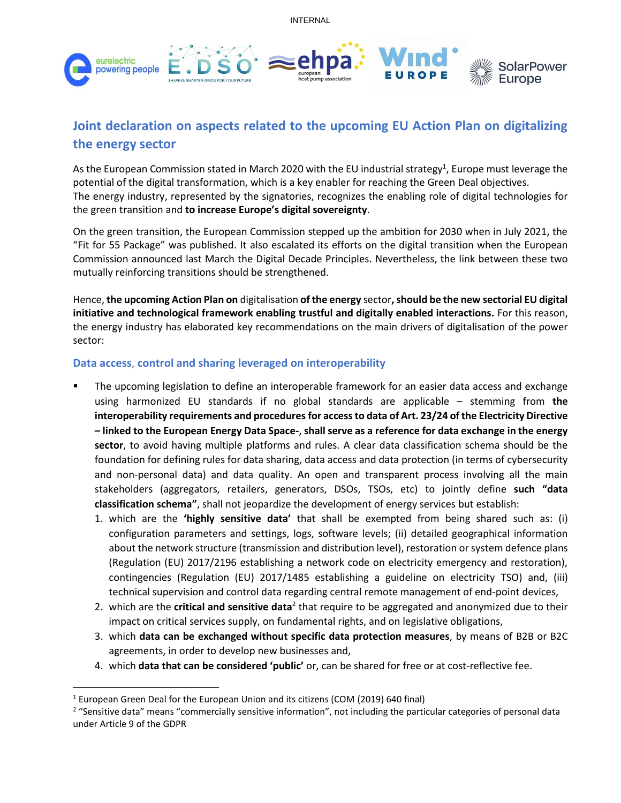INTERNAL



# **Joint declaration on aspects related to the upcoming EU Action Plan on digitalizing the energy sector**

As the European Commission stated in March 2020 with the EU industrial strategy<sup>1</sup>, Europe must leverage the potential of the digital transformation, which is a key enabler for reaching the Green Deal objectives. The energy industry, represented by the signatories, recognizes the enabling role of digital technologies for the green transition and **to increase Europe's digital sovereignty**.

On the green transition, the European Commission stepped up the ambition for 2030 when in July 2021, the "Fit for 55 Package" was published. It also escalated its efforts on the digital transition when the European Commission announced last March the Digital Decade Principles. Nevertheless, the link between these two mutually reinforcing transitions should be strengthened.

Hence, **the upcoming Action Plan on** digitalisation **of the energy** sector**, should be the new sectorial EU digital initiative and technological framework enabling trustful and digitally enabled interactions.** For this reason, the energy industry has elaborated key recommendations on the main drivers of digitalisation of the power sector:

### **Data access**, **control and sharing leveraged on interoperability**

- The upcoming legislation to define an interoperable framework for an easier data access and exchange using harmonized EU standards if no global standards are applicable – stemming from **the interoperability requirements and procedures for access to data of Art. 23/24 of the Electricity Directive – linked to the European Energy Data Space-**, **shall serve as a reference for data exchange in the energy sector**, to avoid having multiple platforms and rules. A clear data classification schema should be the foundation for defining rules for data sharing, data access and data protection (in terms of cybersecurity and non-personal data) and data quality. An open and transparent process involving all the main stakeholders (aggregators, retailers, generators, DSOs, TSOs, etc) to jointly define **such "data classification schema"**, shall not jeopardize the development of energy services but establish:
	- 1. which are the **'highly sensitive data'** that shall be exempted from being shared such as: (i) configuration parameters and settings, logs, software levels; (ii) detailed geographical information about the network structure (transmission and distribution level), restoration or system defence plans (Regulation (EU) 2017/2196 establishing a network code on electricity emergency and restoration), contingencies (Regulation (EU) 2017/1485 establishing a guideline on electricity TSO) and, (iii) technical supervision and control data regarding central remote management of end-point devices,
	- 2. which are the **critical and sensitive data**<sup>2</sup> that require to be aggregated and anonymized due to their impact on critical services supply, on fundamental rights, and on legislative obligations,
	- 3. which **data can be exchanged without specific data protection measures**, by means of B2B or B2C agreements, in order to develop new businesses and,
	- 4. which **data that can be considered 'public'** or, can be shared for free or at cost-reflective fee.

<sup>1</sup> European Green Deal for the European Union and its citizens (COM (2019) 640 final)

<sup>&</sup>lt;sup>2</sup> "Sensitive data" means "commercially sensitive information", not including the particular categories of personal data under Article 9 of the GDPR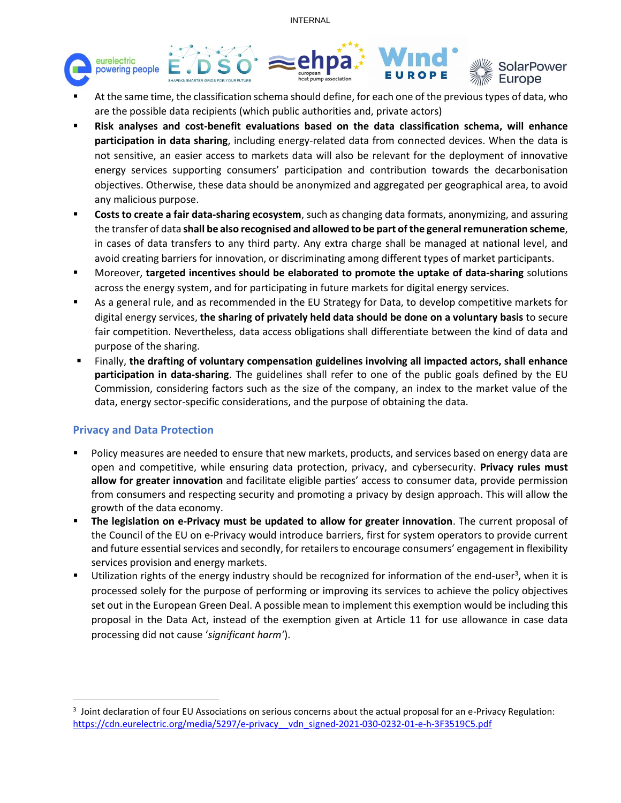INTERNAL



- At the same time, the classification schema should define, for each one of the previous types of data, who are the possible data recipients (which public authorities and, private actors)
- **Risk analyses and cost-benefit evaluations based on the data classification schema, will enhance participation in data sharing**, including energy-related data from connected devices. When the data is not sensitive, an easier access to markets data will also be relevant for the deployment of innovative energy services supporting consumers' participation and contribution towards the decarbonisation objectives. Otherwise, these data should be anonymized and aggregated per geographical area, to avoid any malicious purpose.
- **Costs to create a fair data-sharing ecosystem**, such as changing data formats, anonymizing, and assuring the transfer of data **shall be also recognised and allowed to be part of the general remuneration scheme**, in cases of data transfers to any third party. Any extra charge shall be managed at national level, and avoid creating barriers for innovation, or discriminating among different types of market participants.
- Moreover, **targeted incentives should be elaborated to promote the uptake of data-sharing** solutions across the energy system, and for participating in future markets for digital energy services.
- As a general rule, and as recommended in the EU Strategy for Data, to develop competitive markets for digital energy services, **the sharing of privately held data should be done on a voluntary basis** to secure fair competition. Nevertheless, data access obligations shall differentiate between the kind of data and purpose of the sharing.
- Finally, **the drafting of voluntary compensation guidelines involving all impacted actors, shall enhance participation in data-sharing**. The guidelines shall refer to one of the public goals defined by the EU Commission, considering factors such as the size of the company, an index to the market value of the data, energy sector-specific considerations, and the purpose of obtaining the data.

### **Privacy and Data Protection**

- Policy measures are needed to ensure that new markets, products, and services based on energy data are open and competitive, while ensuring data protection, privacy, and cybersecurity. **Privacy rules must allow for greater innovation** and facilitate eligible parties' access to consumer data, provide permission from consumers and respecting security and promoting a privacy by design approach. This will allow the growth of the data economy.
- **The legislation on e-Privacy must be updated to allow for greater innovation**. The current proposal of the Council of the EU on e-Privacy would introduce barriers, first for system operators to provide current and future essential services and secondly, for retailers to encourage consumers' engagement in flexibility services provision and energy markets.
- Utilization rights of the energy industry should be recognized for information of the end-user<sup>3</sup>, when it is processed solely for the purpose of performing or improving its services to achieve the policy objectives set out in the European Green Deal. A possible mean to implement this exemption would be including this proposal in the Data Act, instead of the exemption given at Article 11 for use allowance in case data processing did not cause '*significant harm'*).

 $3$  Joint declaration of four EU Associations on serious concerns about the actual proposal for an e-Privacy Regulation: [https://cdn.eurelectric.org/media/5297/e-privacy\\_\\_vdn\\_signed-2021-030-0232-01-e-h-3F3519C5.pdf](https://cdn.eurelectric.org/media/5297/e-privacy__vdn_signed-2021-030-0232-01-e-h-3F3519C5.pdf)